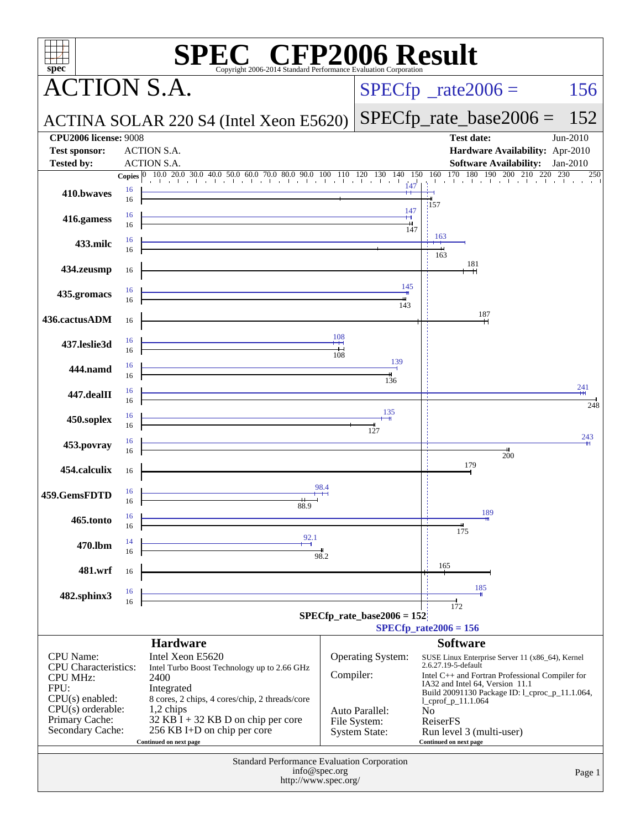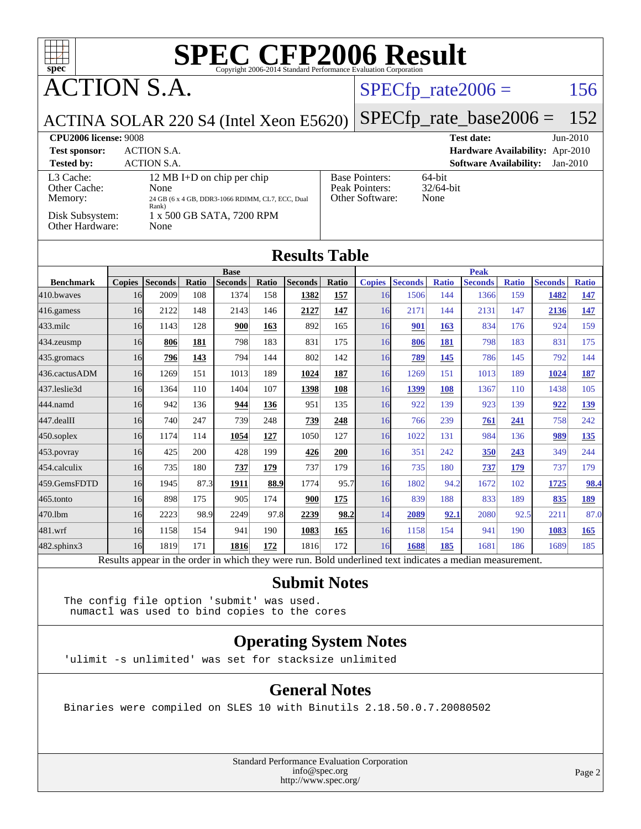

ACTION S.A.

#### $SPECTp_rate2006 = 156$

ACTINA SOLAR 220 S4 (Intel Xeon E5620)

[SPECfp\\_rate\\_base2006 =](http://www.spec.org/auto/cpu2006/Docs/result-fields.html#SPECfpratebase2006) 152

**[CPU2006 license:](http://www.spec.org/auto/cpu2006/Docs/result-fields.html#CPU2006license)** 9008 **[Test date:](http://www.spec.org/auto/cpu2006/Docs/result-fields.html#Testdate)** Jun-2010 **[Test sponsor:](http://www.spec.org/auto/cpu2006/Docs/result-fields.html#Testsponsor)** ACTION S.A. **[Hardware Availability:](http://www.spec.org/auto/cpu2006/Docs/result-fields.html#HardwareAvailability)** Apr-2010

**[Tested by:](http://www.spec.org/auto/cpu2006/Docs/result-fields.html#Testedby)** ACTION S.A. **[Software Availability:](http://www.spec.org/auto/cpu2006/Docs/result-fields.html#SoftwareAvailability)** Jan-2010 [L3 Cache:](http://www.spec.org/auto/cpu2006/Docs/result-fields.html#L3Cache) 12 MB I+D on chip per chip<br>Other Cache: None [Other Cache:](http://www.spec.org/auto/cpu2006/Docs/result-fields.html#OtherCache) [Memory:](http://www.spec.org/auto/cpu2006/Docs/result-fields.html#Memory) 24 GB (6 x 4 GB, DDR3-1066 RDIMM, CL7, ECC, Dual Rank) [Disk Subsystem:](http://www.spec.org/auto/cpu2006/Docs/result-fields.html#DiskSubsystem) 1 x 500 GB SATA, 7200 RPM [Other Hardware:](http://www.spec.org/auto/cpu2006/Docs/result-fields.html#OtherHardware) None

| <b>Base Pointers:</b><br>Peak Pointers:<br>Other Software: |
|------------------------------------------------------------|
|                                                            |

64-bit 32/64-bit None

#### **[Results Table](http://www.spec.org/auto/cpu2006/Docs/result-fields.html#ResultsTable)**

|                  | <b>Base</b>   |                |                     |                |       |                |              | <b>Peak</b>                           |                  |              |                         |              |                |              |
|------------------|---------------|----------------|---------------------|----------------|-------|----------------|--------------|---------------------------------------|------------------|--------------|-------------------------|--------------|----------------|--------------|
| <b>Benchmark</b> | <b>Copies</b> | <b>Seconds</b> | Ratio               | <b>Seconds</b> | Ratio | <b>Seconds</b> | <b>Ratio</b> | <b>Copies</b>                         | <b>Seconds</b>   | <b>Ratio</b> | <b>Seconds</b>          | <b>Ratio</b> | <b>Seconds</b> | <b>Ratio</b> |
| 410.bwayes       | 16            | 2009           | 108                 | 1374           | 158   | 1382           | 157          | 16                                    | 1506             | 144          | 1366                    | 159          | 1482           | 147          |
| 416.gamess       | 16            | 2122           | 148                 | 2143           | 146   | 2127           | <u>147</u>   | 16                                    | 2171             | 144          | 2131                    | 147          | 2136           | 147          |
| $433$ .milc      | 16            | 1143           | 128                 | 900            | 163   | 892            | 165          | 16                                    | 901              | 163          | 834                     | 176          | 924            | 159          |
| $434$ . zeusmp   | 16            | 806            | 181                 | 798            | 183   | 831            | 175          | 16                                    | 806              | 181          | 798                     | 183          | 831            | 175          |
| 435.gromacs      | 16            | 796            | 143                 | 794            | 144   | 802            | 142          | 16                                    | 789              | 145          | 786                     | 145          | 792            | 144          |
| 436.cactusADM    | 16            | 1269           | 151                 | 1013           | 189   | 1024           | 187          | 16                                    | 1269             | 151          | 1013                    | 189          | 1024           | 187          |
| 437.leslie3d     | 16            | 1364           | 110                 | 1404           | 107   | 1398           | <b>108</b>   | 16                                    | 1399             | 108          | 1367                    | 110          | 1438           | 105          |
| 444.namd         | 16            | 942            | 136                 | 944            | 136   | 951            | 135          | 16                                    | 922              | 139          | 923                     | 139          | 922            | <u>139</u>   |
| 447.dealII       | 16            | 740            | 247                 | 739            | 248   | 739            | 248          | 16                                    | 766              | 239          | 761                     | 241          | 758            | 242          |
| $450$ .soplex    | 16            | 1174           | 114                 | 1054           | 127   | 1050           | 127          | 16                                    | 1022             | 131          | 984                     | 136          | 989            | 135          |
| $453$ .povray    | 16            | 425            | 200                 | 428            | 199   | 426            | 200          | 16                                    | 351              | 242          | 350                     | 243          | 349            | 244          |
| 454.calculix     | 16            | 735            | 180                 | 737            | 179   | 737            | 179          | 16                                    | 735              | 180          | 737                     | 179          | 737            | 179          |
| 459.GemsFDTD     | 16            | 1945           | 87.3                | 1911           | 88.9  | 1774           | 95.7         | 16                                    | 1802             | 94.2         | 1672                    | 102          | 1725           | 98.4         |
| 465.tonto        | 16            | 898            | 175                 | 905            | 174   | 900            | 175          | 16                                    | 839              | 188          | 833                     | 189          | 835            | 189          |
| 470.lbm          | 16            | 2223           | 98.9                | 2249           | 97.8  | 2239           | 98.2         | 14                                    | 2089             | 92.1         | 2080                    | 92.5         | 2211           | 87.0         |
| 481.wrf          | 16            | 1158           | 154                 | 941            | 190   | 1083           | 165          | 16                                    | 1158             | 154          | 941                     | 190          | 1083           | 165          |
| 482.sphinx3      | 16            | 1819           | 171                 | 1816           | 172   | 1816           | 172          | 16                                    | 1688             | 185          | 1681                    | 186          | 1689           | 185          |
|                  | $D = 14$      | $2.2 - 41.2$   | المدف محملة المساحد | $1.3 - 1.41$   |       |                | $D - 1.1$    | المستدف المستعد المستحدث<br>عبيب عامل | المستفيد كالتاسك |              | المحافظة الماليمية الما |              |                |              |

Results appear in the [order in which they were run.](http://www.spec.org/auto/cpu2006/Docs/result-fields.html#RunOrder) Bold underlined text [indicates a median measurement.](http://www.spec.org/auto/cpu2006/Docs/result-fields.html#Median)

#### **[Submit Notes](http://www.spec.org/auto/cpu2006/Docs/result-fields.html#SubmitNotes)**

The config file option 'submit' was used. numactl was used to bind copies to the cores

#### **[Operating System Notes](http://www.spec.org/auto/cpu2006/Docs/result-fields.html#OperatingSystemNotes)**

'ulimit -s unlimited' was set for stacksize unlimited

#### **[General Notes](http://www.spec.org/auto/cpu2006/Docs/result-fields.html#GeneralNotes)**

Binaries were compiled on SLES 10 with Binutils 2.18.50.0.7.20080502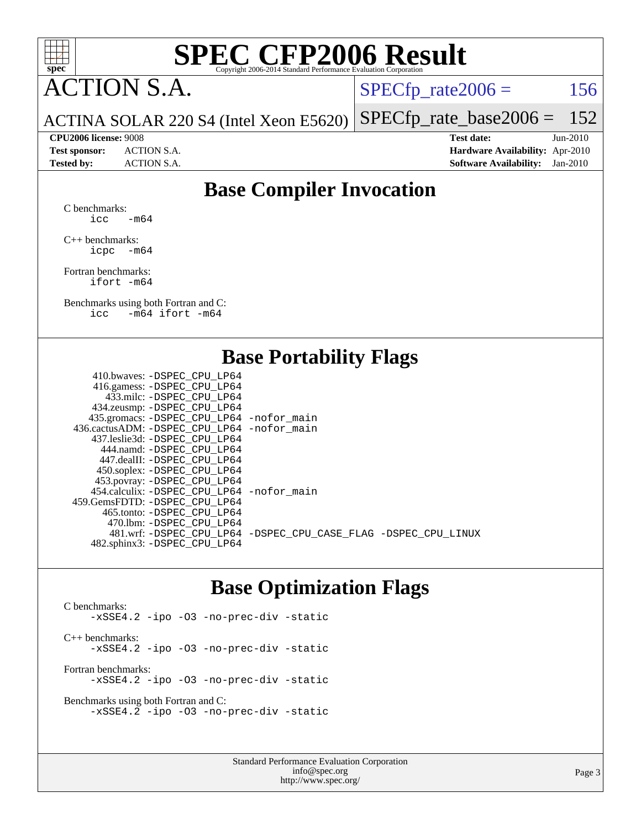

ACTION S.A.

 $SPECTp_rate2006 = 156$ 

ACTINA SOLAR 220 S4 (Intel Xeon E5620) [SPECfp\\_rate\\_base2006 =](http://www.spec.org/auto/cpu2006/Docs/result-fields.html#SPECfpratebase2006) 152

#### **[CPU2006 license:](http://www.spec.org/auto/cpu2006/Docs/result-fields.html#CPU2006license)** 9008 **[Test date:](http://www.spec.org/auto/cpu2006/Docs/result-fields.html#Testdate)** Jun-2010

**[Test sponsor:](http://www.spec.org/auto/cpu2006/Docs/result-fields.html#Testsponsor)** ACTION S.A. **[Hardware Availability:](http://www.spec.org/auto/cpu2006/Docs/result-fields.html#HardwareAvailability)** Apr-2010 **[Tested by:](http://www.spec.org/auto/cpu2006/Docs/result-fields.html#Testedby)** ACTION S.A. **[Software Availability:](http://www.spec.org/auto/cpu2006/Docs/result-fields.html#SoftwareAvailability)** Jan-2010

### **[Base Compiler Invocation](http://www.spec.org/auto/cpu2006/Docs/result-fields.html#BaseCompilerInvocation)**

[C benchmarks](http://www.spec.org/auto/cpu2006/Docs/result-fields.html#Cbenchmarks): icc  $-m64$ 

[C++ benchmarks:](http://www.spec.org/auto/cpu2006/Docs/result-fields.html#CXXbenchmarks) [icpc -m64](http://www.spec.org/cpu2006/results/res2010q3/cpu2006-20100619-11755.flags.html#user_CXXbase_intel_icpc_64bit_bedb90c1146cab66620883ef4f41a67e)

[Fortran benchmarks](http://www.spec.org/auto/cpu2006/Docs/result-fields.html#Fortranbenchmarks): [ifort -m64](http://www.spec.org/cpu2006/results/res2010q3/cpu2006-20100619-11755.flags.html#user_FCbase_intel_ifort_64bit_ee9d0fb25645d0210d97eb0527dcc06e)

[Benchmarks using both Fortran and C](http://www.spec.org/auto/cpu2006/Docs/result-fields.html#BenchmarksusingbothFortranandC): [icc -m64](http://www.spec.org/cpu2006/results/res2010q3/cpu2006-20100619-11755.flags.html#user_CC_FCbase_intel_icc_64bit_0b7121f5ab7cfabee23d88897260401c) [ifort -m64](http://www.spec.org/cpu2006/results/res2010q3/cpu2006-20100619-11755.flags.html#user_CC_FCbase_intel_ifort_64bit_ee9d0fb25645d0210d97eb0527dcc06e)

### **[Base Portability Flags](http://www.spec.org/auto/cpu2006/Docs/result-fields.html#BasePortabilityFlags)**

| 410.bwaves: -DSPEC CPU LP64                 |                                                                |
|---------------------------------------------|----------------------------------------------------------------|
| 416.gamess: - DSPEC_CPU_LP64                |                                                                |
| 433.milc: -DSPEC CPU LP64                   |                                                                |
| 434.zeusmp: -DSPEC_CPU_LP64                 |                                                                |
| 435.gromacs: -DSPEC_CPU_LP64 -nofor_main    |                                                                |
| 436.cactusADM: -DSPEC CPU LP64 -nofor main  |                                                                |
| 437.leslie3d: -DSPEC CPU LP64               |                                                                |
| 444.namd: - DSPEC CPU LP64                  |                                                                |
| 447.dealII: - DSPEC CPU LP64                |                                                                |
| 450.soplex: -DSPEC_CPU_LP64                 |                                                                |
| 453.povray: -DSPEC_CPU_LP64                 |                                                                |
| 454.calculix: - DSPEC CPU LP64 - nofor main |                                                                |
| 459. GemsFDTD: - DSPEC CPU LP64             |                                                                |
| 465.tonto: - DSPEC CPU LP64                 |                                                                |
| 470.1bm: - DSPEC CPU LP64                   |                                                                |
|                                             | 481.wrf: -DSPEC_CPU_LP64 -DSPEC_CPU_CASE_FLAG -DSPEC_CPU_LINUX |
| 482.sphinx3: -DSPEC_CPU_LP64                |                                                                |
|                                             |                                                                |

### **[Base Optimization Flags](http://www.spec.org/auto/cpu2006/Docs/result-fields.html#BaseOptimizationFlags)**

[C benchmarks](http://www.spec.org/auto/cpu2006/Docs/result-fields.html#Cbenchmarks): [-xSSE4.2](http://www.spec.org/cpu2006/results/res2010q3/cpu2006-20100619-11755.flags.html#user_CCbase_f-xSSE42_f91528193cf0b216347adb8b939d4107) [-ipo](http://www.spec.org/cpu2006/results/res2010q3/cpu2006-20100619-11755.flags.html#user_CCbase_f-ipo) [-O3](http://www.spec.org/cpu2006/results/res2010q3/cpu2006-20100619-11755.flags.html#user_CCbase_f-O3) [-no-prec-div](http://www.spec.org/cpu2006/results/res2010q3/cpu2006-20100619-11755.flags.html#user_CCbase_f-no-prec-div) [-static](http://www.spec.org/cpu2006/results/res2010q3/cpu2006-20100619-11755.flags.html#user_CCbase_f-static) [C++ benchmarks:](http://www.spec.org/auto/cpu2006/Docs/result-fields.html#CXXbenchmarks) [-xSSE4.2](http://www.spec.org/cpu2006/results/res2010q3/cpu2006-20100619-11755.flags.html#user_CXXbase_f-xSSE42_f91528193cf0b216347adb8b939d4107) [-ipo](http://www.spec.org/cpu2006/results/res2010q3/cpu2006-20100619-11755.flags.html#user_CXXbase_f-ipo) [-O3](http://www.spec.org/cpu2006/results/res2010q3/cpu2006-20100619-11755.flags.html#user_CXXbase_f-O3) [-no-prec-div](http://www.spec.org/cpu2006/results/res2010q3/cpu2006-20100619-11755.flags.html#user_CXXbase_f-no-prec-div) [-static](http://www.spec.org/cpu2006/results/res2010q3/cpu2006-20100619-11755.flags.html#user_CXXbase_f-static) [Fortran benchmarks](http://www.spec.org/auto/cpu2006/Docs/result-fields.html#Fortranbenchmarks): [-xSSE4.2](http://www.spec.org/cpu2006/results/res2010q3/cpu2006-20100619-11755.flags.html#user_FCbase_f-xSSE42_f91528193cf0b216347adb8b939d4107) [-ipo](http://www.spec.org/cpu2006/results/res2010q3/cpu2006-20100619-11755.flags.html#user_FCbase_f-ipo) [-O3](http://www.spec.org/cpu2006/results/res2010q3/cpu2006-20100619-11755.flags.html#user_FCbase_f-O3) [-no-prec-div](http://www.spec.org/cpu2006/results/res2010q3/cpu2006-20100619-11755.flags.html#user_FCbase_f-no-prec-div) [-static](http://www.spec.org/cpu2006/results/res2010q3/cpu2006-20100619-11755.flags.html#user_FCbase_f-static)

[Benchmarks using both Fortran and C](http://www.spec.org/auto/cpu2006/Docs/result-fields.html#BenchmarksusingbothFortranandC): [-xSSE4.2](http://www.spec.org/cpu2006/results/res2010q3/cpu2006-20100619-11755.flags.html#user_CC_FCbase_f-xSSE42_f91528193cf0b216347adb8b939d4107) [-ipo](http://www.spec.org/cpu2006/results/res2010q3/cpu2006-20100619-11755.flags.html#user_CC_FCbase_f-ipo) [-O3](http://www.spec.org/cpu2006/results/res2010q3/cpu2006-20100619-11755.flags.html#user_CC_FCbase_f-O3) [-no-prec-div](http://www.spec.org/cpu2006/results/res2010q3/cpu2006-20100619-11755.flags.html#user_CC_FCbase_f-no-prec-div) [-static](http://www.spec.org/cpu2006/results/res2010q3/cpu2006-20100619-11755.flags.html#user_CC_FCbase_f-static)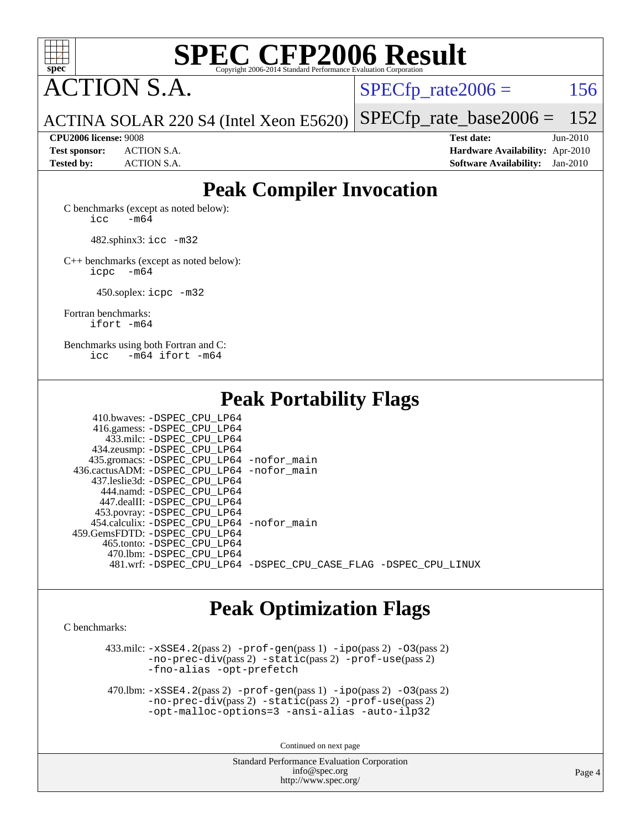

ACTION S.A.

 $SPECTp\_rate2006 = 156$ 

ACTINA SOLAR 220 S4 (Intel Xeon E5620) [SPECfp\\_rate\\_base2006 =](http://www.spec.org/auto/cpu2006/Docs/result-fields.html#SPECfpratebase2006) 152

**[CPU2006 license:](http://www.spec.org/auto/cpu2006/Docs/result-fields.html#CPU2006license)** 9008 **[Test date:](http://www.spec.org/auto/cpu2006/Docs/result-fields.html#Testdate)** Jun-2010 **[Test sponsor:](http://www.spec.org/auto/cpu2006/Docs/result-fields.html#Testsponsor)** ACTION S.A. **[Hardware Availability:](http://www.spec.org/auto/cpu2006/Docs/result-fields.html#HardwareAvailability)** Apr-2010 **[Tested by:](http://www.spec.org/auto/cpu2006/Docs/result-fields.html#Testedby)** ACTION S.A. **[Software Availability:](http://www.spec.org/auto/cpu2006/Docs/result-fields.html#SoftwareAvailability)** Jan-2010

### **[Peak Compiler Invocation](http://www.spec.org/auto/cpu2006/Docs/result-fields.html#PeakCompilerInvocation)**

[C benchmarks \(except as noted below\)](http://www.spec.org/auto/cpu2006/Docs/result-fields.html#Cbenchmarksexceptasnotedbelow):  $\text{icc}$   $-\text{m64}$ 

482.sphinx3: [icc -m32](http://www.spec.org/cpu2006/results/res2010q3/cpu2006-20100619-11755.flags.html#user_peakCCLD482_sphinx3_intel_icc_32bit_a6a621f8d50482236b970c6ac5f55f93)

[C++ benchmarks \(except as noted below\):](http://www.spec.org/auto/cpu2006/Docs/result-fields.html#CXXbenchmarksexceptasnotedbelow) [icpc -m64](http://www.spec.org/cpu2006/results/res2010q3/cpu2006-20100619-11755.flags.html#user_CXXpeak_intel_icpc_64bit_bedb90c1146cab66620883ef4f41a67e)

450.soplex: [icpc -m32](http://www.spec.org/cpu2006/results/res2010q3/cpu2006-20100619-11755.flags.html#user_peakCXXLD450_soplex_intel_icpc_32bit_4e5a5ef1a53fd332b3c49e69c3330699)

[Fortran benchmarks](http://www.spec.org/auto/cpu2006/Docs/result-fields.html#Fortranbenchmarks): [ifort -m64](http://www.spec.org/cpu2006/results/res2010q3/cpu2006-20100619-11755.flags.html#user_FCpeak_intel_ifort_64bit_ee9d0fb25645d0210d97eb0527dcc06e)

[Benchmarks using both Fortran and C](http://www.spec.org/auto/cpu2006/Docs/result-fields.html#BenchmarksusingbothFortranandC): [icc -m64](http://www.spec.org/cpu2006/results/res2010q3/cpu2006-20100619-11755.flags.html#user_CC_FCpeak_intel_icc_64bit_0b7121f5ab7cfabee23d88897260401c) [ifort -m64](http://www.spec.org/cpu2006/results/res2010q3/cpu2006-20100619-11755.flags.html#user_CC_FCpeak_intel_ifort_64bit_ee9d0fb25645d0210d97eb0527dcc06e)

**[Peak Portability Flags](http://www.spec.org/auto/cpu2006/Docs/result-fields.html#PeakPortabilityFlags)**

| 410.bwaves: -DSPEC CPU LP64                 |                                                                |
|---------------------------------------------|----------------------------------------------------------------|
| 416.gamess: -DSPEC_CPU_LP64                 |                                                                |
| 433.milc: -DSPEC CPU LP64                   |                                                                |
| 434.zeusmp: - DSPEC_CPU_LP64                |                                                                |
| 435.gromacs: -DSPEC_CPU_LP64 -nofor_main    |                                                                |
| 436.cactusADM: -DSPEC CPU LP64 -nofor main  |                                                                |
| 437.leslie3d: -DSPEC CPU LP64               |                                                                |
| 444.namd: -DSPEC CPU LP64                   |                                                                |
| 447.dealII: -DSPEC CPU LP64                 |                                                                |
| 453.povray: -DSPEC_CPU_LP64                 |                                                                |
| 454.calculix: - DSPEC CPU LP64 - nofor main |                                                                |
| 459. GemsFDTD: - DSPEC CPU LP64             |                                                                |
| 465.tonto: - DSPEC CPU LP64                 |                                                                |
| 470.1bm: - DSPEC CPU LP64                   |                                                                |
|                                             | 481.wrf: -DSPEC_CPU_LP64 -DSPEC_CPU_CASE_FLAG -DSPEC_CPU_LINUX |
|                                             |                                                                |

### **[Peak Optimization Flags](http://www.spec.org/auto/cpu2006/Docs/result-fields.html#PeakOptimizationFlags)**

[C benchmarks](http://www.spec.org/auto/cpu2006/Docs/result-fields.html#Cbenchmarks):

 $433 \text{.}$ milc:  $-xSSE4$ .  $2(\text{pass 2})$  - $\text{prof-gen}(\text{pass 1})$  - $\text{ipo}(\text{pass 2})$  - $03(\text{pass 2})$ [-no-prec-div](http://www.spec.org/cpu2006/results/res2010q3/cpu2006-20100619-11755.flags.html#user_peakPASS2_CFLAGSPASS2_LDFLAGS433_milc_f-no-prec-div)(pass 2) [-static](http://www.spec.org/cpu2006/results/res2010q3/cpu2006-20100619-11755.flags.html#user_peakPASS2_CFLAGSPASS2_LDFLAGS433_milc_f-static)(pass 2) [-prof-use](http://www.spec.org/cpu2006/results/res2010q3/cpu2006-20100619-11755.flags.html#user_peakPASS2_CFLAGSPASS2_LDFLAGS433_milc_prof_use_bccf7792157ff70d64e32fe3e1250b55)(pass 2) [-fno-alias](http://www.spec.org/cpu2006/results/res2010q3/cpu2006-20100619-11755.flags.html#user_peakOPTIMIZE433_milc_f-no-alias_694e77f6c5a51e658e82ccff53a9e63a) [-opt-prefetch](http://www.spec.org/cpu2006/results/res2010q3/cpu2006-20100619-11755.flags.html#user_peakOPTIMIZE433_milc_f-opt-prefetch)

 470.lbm: [-xSSE4.2](http://www.spec.org/cpu2006/results/res2010q3/cpu2006-20100619-11755.flags.html#user_peakPASS2_CFLAGSPASS2_LDFLAGS470_lbm_f-xSSE42_f91528193cf0b216347adb8b939d4107)(pass 2) [-prof-gen](http://www.spec.org/cpu2006/results/res2010q3/cpu2006-20100619-11755.flags.html#user_peakPASS1_CFLAGSPASS1_LDFLAGS470_lbm_prof_gen_e43856698f6ca7b7e442dfd80e94a8fc)(pass 1) [-ipo](http://www.spec.org/cpu2006/results/res2010q3/cpu2006-20100619-11755.flags.html#user_peakPASS2_CFLAGSPASS2_LDFLAGS470_lbm_f-ipo)(pass 2) [-O3](http://www.spec.org/cpu2006/results/res2010q3/cpu2006-20100619-11755.flags.html#user_peakPASS2_CFLAGSPASS2_LDFLAGS470_lbm_f-O3)(pass 2) [-no-prec-div](http://www.spec.org/cpu2006/results/res2010q3/cpu2006-20100619-11755.flags.html#user_peakPASS2_CFLAGSPASS2_LDFLAGS470_lbm_f-no-prec-div)(pass 2) [-static](http://www.spec.org/cpu2006/results/res2010q3/cpu2006-20100619-11755.flags.html#user_peakPASS2_CFLAGSPASS2_LDFLAGS470_lbm_f-static)(pass 2) [-prof-use](http://www.spec.org/cpu2006/results/res2010q3/cpu2006-20100619-11755.flags.html#user_peakPASS2_CFLAGSPASS2_LDFLAGS470_lbm_prof_use_bccf7792157ff70d64e32fe3e1250b55)(pass 2) [-opt-malloc-options=3](http://www.spec.org/cpu2006/results/res2010q3/cpu2006-20100619-11755.flags.html#user_peakOPTIMIZE470_lbm_f-opt-malloc-options_13ab9b803cf986b4ee62f0a5998c2238) [-ansi-alias](http://www.spec.org/cpu2006/results/res2010q3/cpu2006-20100619-11755.flags.html#user_peakOPTIMIZE470_lbm_f-ansi-alias) [-auto-ilp32](http://www.spec.org/cpu2006/results/res2010q3/cpu2006-20100619-11755.flags.html#user_peakCOPTIMIZE470_lbm_f-auto-ilp32)

Continued on next page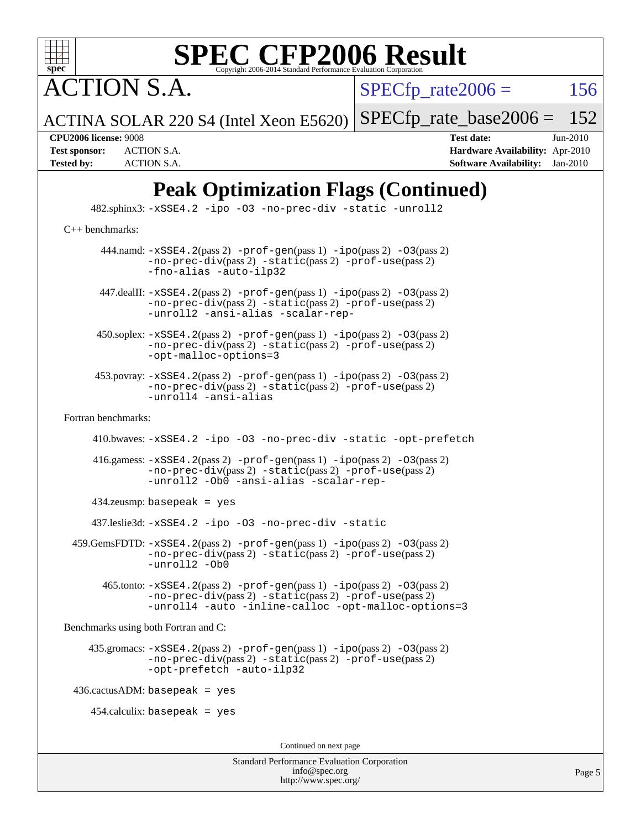

**CTION S.A.** 

 $SPECTp\_rate2006 = 156$ 

 $SPECTp\_rate\_base2006 = 152$ 

Page 5

ACTINA SOLAR 220 S4 (Intel Xeon E5620)

**[CPU2006 license:](http://www.spec.org/auto/cpu2006/Docs/result-fields.html#CPU2006license)** 9008 **[Test date:](http://www.spec.org/auto/cpu2006/Docs/result-fields.html#Testdate)** Jun-2010 **[Test sponsor:](http://www.spec.org/auto/cpu2006/Docs/result-fields.html#Testsponsor)** ACTION S.A. **[Hardware Availability:](http://www.spec.org/auto/cpu2006/Docs/result-fields.html#HardwareAvailability)** Apr-2010 **[Tested by:](http://www.spec.org/auto/cpu2006/Docs/result-fields.html#Testedby)** ACTION S.A. **[Software Availability:](http://www.spec.org/auto/cpu2006/Docs/result-fields.html#SoftwareAvailability)** Jan-2010

Standard Performance Evaluation Corporation [info@spec.org](mailto:info@spec.org) <http://www.spec.org/> **[Peak Optimization Flags \(Continued\)](http://www.spec.org/auto/cpu2006/Docs/result-fields.html#PeakOptimizationFlags)** 482.sphinx3: [-xSSE4.2](http://www.spec.org/cpu2006/results/res2010q3/cpu2006-20100619-11755.flags.html#user_peakOPTIMIZE482_sphinx3_f-xSSE42_f91528193cf0b216347adb8b939d4107) [-ipo](http://www.spec.org/cpu2006/results/res2010q3/cpu2006-20100619-11755.flags.html#user_peakOPTIMIZE482_sphinx3_f-ipo) [-O3](http://www.spec.org/cpu2006/results/res2010q3/cpu2006-20100619-11755.flags.html#user_peakOPTIMIZE482_sphinx3_f-O3) [-no-prec-div](http://www.spec.org/cpu2006/results/res2010q3/cpu2006-20100619-11755.flags.html#user_peakOPTIMIZE482_sphinx3_f-no-prec-div) [-static](http://www.spec.org/cpu2006/results/res2010q3/cpu2006-20100619-11755.flags.html#user_peakOPTIMIZE482_sphinx3_f-static) [-unroll2](http://www.spec.org/cpu2006/results/res2010q3/cpu2006-20100619-11755.flags.html#user_peakCOPTIMIZE482_sphinx3_f-unroll_784dae83bebfb236979b41d2422d7ec2) [C++ benchmarks:](http://www.spec.org/auto/cpu2006/Docs/result-fields.html#CXXbenchmarks) 444.namd:  $-xSSE4$ . 2(pass 2)  $-prof-gen(pass 1) -ipo(pass 2) -O3(pass 2)$  $-prof-gen(pass 1) -ipo(pass 2) -O3(pass 2)$  $-prof-gen(pass 1) -ipo(pass 2) -O3(pass 2)$  $-prof-gen(pass 1) -ipo(pass 2) -O3(pass 2)$  $-prof-gen(pass 1) -ipo(pass 2) -O3(pass 2)$  $-prof-gen(pass 1) -ipo(pass 2) -O3(pass 2)$ [-no-prec-div](http://www.spec.org/cpu2006/results/res2010q3/cpu2006-20100619-11755.flags.html#user_peakPASS2_CXXFLAGSPASS2_LDFLAGS444_namd_f-no-prec-div)(pass 2) [-static](http://www.spec.org/cpu2006/results/res2010q3/cpu2006-20100619-11755.flags.html#user_peakPASS2_CXXFLAGSPASS2_LDFLAGS444_namd_f-static)(pass 2) [-prof-use](http://www.spec.org/cpu2006/results/res2010q3/cpu2006-20100619-11755.flags.html#user_peakPASS2_CXXFLAGSPASS2_LDFLAGS444_namd_prof_use_bccf7792157ff70d64e32fe3e1250b55)(pass 2) [-fno-alias](http://www.spec.org/cpu2006/results/res2010q3/cpu2006-20100619-11755.flags.html#user_peakCXXOPTIMIZE444_namd_f-no-alias_694e77f6c5a51e658e82ccff53a9e63a) [-auto-ilp32](http://www.spec.org/cpu2006/results/res2010q3/cpu2006-20100619-11755.flags.html#user_peakCXXOPTIMIZE444_namd_f-auto-ilp32) 447.dealII: [-xSSE4.2](http://www.spec.org/cpu2006/results/res2010q3/cpu2006-20100619-11755.flags.html#user_peakPASS2_CXXFLAGSPASS2_LDFLAGS447_dealII_f-xSSE42_f91528193cf0b216347adb8b939d4107)(pass 2) [-prof-gen](http://www.spec.org/cpu2006/results/res2010q3/cpu2006-20100619-11755.flags.html#user_peakPASS1_CXXFLAGSPASS1_LDFLAGS447_dealII_prof_gen_e43856698f6ca7b7e442dfd80e94a8fc)(pass 1) [-ipo](http://www.spec.org/cpu2006/results/res2010q3/cpu2006-20100619-11755.flags.html#user_peakPASS2_CXXFLAGSPASS2_LDFLAGS447_dealII_f-ipo)(pass 2) [-O3](http://www.spec.org/cpu2006/results/res2010q3/cpu2006-20100619-11755.flags.html#user_peakPASS2_CXXFLAGSPASS2_LDFLAGS447_dealII_f-O3)(pass 2) [-no-prec-div](http://www.spec.org/cpu2006/results/res2010q3/cpu2006-20100619-11755.flags.html#user_peakPASS2_CXXFLAGSPASS2_LDFLAGS447_dealII_f-no-prec-div)(pass 2) [-static](http://www.spec.org/cpu2006/results/res2010q3/cpu2006-20100619-11755.flags.html#user_peakPASS2_CXXFLAGSPASS2_LDFLAGS447_dealII_f-static)(pass 2) [-prof-use](http://www.spec.org/cpu2006/results/res2010q3/cpu2006-20100619-11755.flags.html#user_peakPASS2_CXXFLAGSPASS2_LDFLAGS447_dealII_prof_use_bccf7792157ff70d64e32fe3e1250b55)(pass 2) [-unroll2](http://www.spec.org/cpu2006/results/res2010q3/cpu2006-20100619-11755.flags.html#user_peakCXXOPTIMIZE447_dealII_f-unroll_784dae83bebfb236979b41d2422d7ec2) [-ansi-alias](http://www.spec.org/cpu2006/results/res2010q3/cpu2006-20100619-11755.flags.html#user_peakCXXOPTIMIZE447_dealII_f-ansi-alias) [-scalar-rep-](http://www.spec.org/cpu2006/results/res2010q3/cpu2006-20100619-11755.flags.html#user_peakCXXOPTIMIZE447_dealII_f-disablescalarrep_abbcad04450fb118e4809c81d83c8a1d)  $450.\text{soplex: } -x\text{SSE4}.2(\text{pass 2}) -\text{prof-gen}(\text{pass 1}) - \text{ipo}(\text{pass 2}) -03(\text{pass 2})$ [-no-prec-div](http://www.spec.org/cpu2006/results/res2010q3/cpu2006-20100619-11755.flags.html#user_peakPASS2_CXXFLAGSPASS2_LDFLAGS450_soplex_f-no-prec-div)(pass 2) [-static](http://www.spec.org/cpu2006/results/res2010q3/cpu2006-20100619-11755.flags.html#user_peakPASS2_CXXFLAGSPASS2_LDFLAGS450_soplex_f-static)(pass 2) [-prof-use](http://www.spec.org/cpu2006/results/res2010q3/cpu2006-20100619-11755.flags.html#user_peakPASS2_CXXFLAGSPASS2_LDFLAGS450_soplex_prof_use_bccf7792157ff70d64e32fe3e1250b55)(pass 2) [-opt-malloc-options=3](http://www.spec.org/cpu2006/results/res2010q3/cpu2006-20100619-11755.flags.html#user_peakOPTIMIZE450_soplex_f-opt-malloc-options_13ab9b803cf986b4ee62f0a5998c2238) 453.povray: [-xSSE4.2](http://www.spec.org/cpu2006/results/res2010q3/cpu2006-20100619-11755.flags.html#user_peakPASS2_CXXFLAGSPASS2_LDFLAGS453_povray_f-xSSE42_f91528193cf0b216347adb8b939d4107)(pass 2) [-prof-gen](http://www.spec.org/cpu2006/results/res2010q3/cpu2006-20100619-11755.flags.html#user_peakPASS1_CXXFLAGSPASS1_LDFLAGS453_povray_prof_gen_e43856698f6ca7b7e442dfd80e94a8fc)(pass 1) [-ipo](http://www.spec.org/cpu2006/results/res2010q3/cpu2006-20100619-11755.flags.html#user_peakPASS2_CXXFLAGSPASS2_LDFLAGS453_povray_f-ipo)(pass 2) [-O3](http://www.spec.org/cpu2006/results/res2010q3/cpu2006-20100619-11755.flags.html#user_peakPASS2_CXXFLAGSPASS2_LDFLAGS453_povray_f-O3)(pass 2) [-no-prec-div](http://www.spec.org/cpu2006/results/res2010q3/cpu2006-20100619-11755.flags.html#user_peakPASS2_CXXFLAGSPASS2_LDFLAGS453_povray_f-no-prec-div)(pass 2) [-static](http://www.spec.org/cpu2006/results/res2010q3/cpu2006-20100619-11755.flags.html#user_peakPASS2_CXXFLAGSPASS2_LDFLAGS453_povray_f-static)(pass 2) [-prof-use](http://www.spec.org/cpu2006/results/res2010q3/cpu2006-20100619-11755.flags.html#user_peakPASS2_CXXFLAGSPASS2_LDFLAGS453_povray_prof_use_bccf7792157ff70d64e32fe3e1250b55)(pass 2) [-unroll4](http://www.spec.org/cpu2006/results/res2010q3/cpu2006-20100619-11755.flags.html#user_peakCXXOPTIMIZE453_povray_f-unroll_4e5e4ed65b7fd20bdcd365bec371b81f) [-ansi-alias](http://www.spec.org/cpu2006/results/res2010q3/cpu2006-20100619-11755.flags.html#user_peakCXXOPTIMIZE453_povray_f-ansi-alias) [Fortran benchmarks](http://www.spec.org/auto/cpu2006/Docs/result-fields.html#Fortranbenchmarks): 410.bwaves: [-xSSE4.2](http://www.spec.org/cpu2006/results/res2010q3/cpu2006-20100619-11755.flags.html#user_peakOPTIMIZE410_bwaves_f-xSSE42_f91528193cf0b216347adb8b939d4107) [-ipo](http://www.spec.org/cpu2006/results/res2010q3/cpu2006-20100619-11755.flags.html#user_peakOPTIMIZE410_bwaves_f-ipo) [-O3](http://www.spec.org/cpu2006/results/res2010q3/cpu2006-20100619-11755.flags.html#user_peakOPTIMIZE410_bwaves_f-O3) [-no-prec-div](http://www.spec.org/cpu2006/results/res2010q3/cpu2006-20100619-11755.flags.html#user_peakOPTIMIZE410_bwaves_f-no-prec-div) [-static](http://www.spec.org/cpu2006/results/res2010q3/cpu2006-20100619-11755.flags.html#user_peakOPTIMIZE410_bwaves_f-static) [-opt-prefetch](http://www.spec.org/cpu2006/results/res2010q3/cpu2006-20100619-11755.flags.html#user_peakOPTIMIZE410_bwaves_f-opt-prefetch) 416.gamess: [-xSSE4.2](http://www.spec.org/cpu2006/results/res2010q3/cpu2006-20100619-11755.flags.html#user_peakPASS2_FFLAGSPASS2_LDFLAGS416_gamess_f-xSSE42_f91528193cf0b216347adb8b939d4107)(pass 2) [-prof-gen](http://www.spec.org/cpu2006/results/res2010q3/cpu2006-20100619-11755.flags.html#user_peakPASS1_FFLAGSPASS1_LDFLAGS416_gamess_prof_gen_e43856698f6ca7b7e442dfd80e94a8fc)(pass 1) [-ipo](http://www.spec.org/cpu2006/results/res2010q3/cpu2006-20100619-11755.flags.html#user_peakPASS2_FFLAGSPASS2_LDFLAGS416_gamess_f-ipo)(pass 2) [-O3](http://www.spec.org/cpu2006/results/res2010q3/cpu2006-20100619-11755.flags.html#user_peakPASS2_FFLAGSPASS2_LDFLAGS416_gamess_f-O3)(pass 2) [-no-prec-div](http://www.spec.org/cpu2006/results/res2010q3/cpu2006-20100619-11755.flags.html#user_peakPASS2_FFLAGSPASS2_LDFLAGS416_gamess_f-no-prec-div)(pass 2) [-static](http://www.spec.org/cpu2006/results/res2010q3/cpu2006-20100619-11755.flags.html#user_peakPASS2_FFLAGSPASS2_LDFLAGS416_gamess_f-static)(pass 2) [-prof-use](http://www.spec.org/cpu2006/results/res2010q3/cpu2006-20100619-11755.flags.html#user_peakPASS2_FFLAGSPASS2_LDFLAGS416_gamess_prof_use_bccf7792157ff70d64e32fe3e1250b55)(pass 2) [-unroll2](http://www.spec.org/cpu2006/results/res2010q3/cpu2006-20100619-11755.flags.html#user_peakOPTIMIZE416_gamess_f-unroll_784dae83bebfb236979b41d2422d7ec2) [-Ob0](http://www.spec.org/cpu2006/results/res2010q3/cpu2006-20100619-11755.flags.html#user_peakOPTIMIZE416_gamess_f-Ob_n_fbe6f6428adb7d4b74b1e99bb2444c2d) [-ansi-alias](http://www.spec.org/cpu2006/results/res2010q3/cpu2006-20100619-11755.flags.html#user_peakOPTIMIZE416_gamess_f-ansi-alias) [-scalar-rep-](http://www.spec.org/cpu2006/results/res2010q3/cpu2006-20100619-11755.flags.html#user_peakOPTIMIZE416_gamess_f-disablescalarrep_abbcad04450fb118e4809c81d83c8a1d) 434.zeusmp: basepeak = yes 437.leslie3d: [-xSSE4.2](http://www.spec.org/cpu2006/results/res2010q3/cpu2006-20100619-11755.flags.html#user_peakOPTIMIZE437_leslie3d_f-xSSE42_f91528193cf0b216347adb8b939d4107) [-ipo](http://www.spec.org/cpu2006/results/res2010q3/cpu2006-20100619-11755.flags.html#user_peakOPTIMIZE437_leslie3d_f-ipo) [-O3](http://www.spec.org/cpu2006/results/res2010q3/cpu2006-20100619-11755.flags.html#user_peakOPTIMIZE437_leslie3d_f-O3) [-no-prec-div](http://www.spec.org/cpu2006/results/res2010q3/cpu2006-20100619-11755.flags.html#user_peakOPTIMIZE437_leslie3d_f-no-prec-div) [-static](http://www.spec.org/cpu2006/results/res2010q3/cpu2006-20100619-11755.flags.html#user_peakOPTIMIZE437_leslie3d_f-static)  $459.GemsFDTD: -xSSE4.2(pass 2) -prof-qen(pass 1) -ipo(pass 2) -O3(pass 2)$  $459.GemsFDTD: -xSSE4.2(pass 2) -prof-qen(pass 1) -ipo(pass 2) -O3(pass 2)$  $459.GemsFDTD: -xSSE4.2(pass 2) -prof-qen(pass 1) -ipo(pass 2) -O3(pass 2)$  $459.GemsFDTD: -xSSE4.2(pass 2) -prof-qen(pass 1) -ipo(pass 2) -O3(pass 2)$  $459.GemsFDTD: -xSSE4.2(pass 2) -prof-qen(pass 1) -ipo(pass 2) -O3(pass 2)$  $459.GemsFDTD: -xSSE4.2(pass 2) -prof-qen(pass 1) -ipo(pass 2) -O3(pass 2)$  $459.GemsFDTD: -xSSE4.2(pass 2) -prof-qen(pass 1) -ipo(pass 2) -O3(pass 2)$ [-no-prec-div](http://www.spec.org/cpu2006/results/res2010q3/cpu2006-20100619-11755.flags.html#user_peakPASS2_FFLAGSPASS2_LDFLAGS459_GemsFDTD_f-no-prec-div)(pass 2) [-static](http://www.spec.org/cpu2006/results/res2010q3/cpu2006-20100619-11755.flags.html#user_peakPASS2_FFLAGSPASS2_LDFLAGS459_GemsFDTD_f-static)(pass 2) [-prof-use](http://www.spec.org/cpu2006/results/res2010q3/cpu2006-20100619-11755.flags.html#user_peakPASS2_FFLAGSPASS2_LDFLAGS459_GemsFDTD_prof_use_bccf7792157ff70d64e32fe3e1250b55)(pass 2) [-unroll2](http://www.spec.org/cpu2006/results/res2010q3/cpu2006-20100619-11755.flags.html#user_peakOPTIMIZE459_GemsFDTD_f-unroll_784dae83bebfb236979b41d2422d7ec2) [-Ob0](http://www.spec.org/cpu2006/results/res2010q3/cpu2006-20100619-11755.flags.html#user_peakOPTIMIZE459_GemsFDTD_f-Ob_n_fbe6f6428adb7d4b74b1e99bb2444c2d) 465.tonto: [-xSSE4.2](http://www.spec.org/cpu2006/results/res2010q3/cpu2006-20100619-11755.flags.html#user_peakPASS2_FFLAGSPASS2_LDFLAGS465_tonto_f-xSSE42_f91528193cf0b216347adb8b939d4107)(pass 2) [-prof-gen](http://www.spec.org/cpu2006/results/res2010q3/cpu2006-20100619-11755.flags.html#user_peakPASS1_FFLAGSPASS1_LDFLAGS465_tonto_prof_gen_e43856698f6ca7b7e442dfd80e94a8fc)(pass 1) [-ipo](http://www.spec.org/cpu2006/results/res2010q3/cpu2006-20100619-11755.flags.html#user_peakPASS2_FFLAGSPASS2_LDFLAGS465_tonto_f-ipo)(pass 2) [-O3](http://www.spec.org/cpu2006/results/res2010q3/cpu2006-20100619-11755.flags.html#user_peakPASS2_FFLAGSPASS2_LDFLAGS465_tonto_f-O3)(pass 2) [-no-prec-div](http://www.spec.org/cpu2006/results/res2010q3/cpu2006-20100619-11755.flags.html#user_peakPASS2_FFLAGSPASS2_LDFLAGS465_tonto_f-no-prec-div)(pass 2) [-static](http://www.spec.org/cpu2006/results/res2010q3/cpu2006-20100619-11755.flags.html#user_peakPASS2_FFLAGSPASS2_LDFLAGS465_tonto_f-static)(pass 2) [-prof-use](http://www.spec.org/cpu2006/results/res2010q3/cpu2006-20100619-11755.flags.html#user_peakPASS2_FFLAGSPASS2_LDFLAGS465_tonto_prof_use_bccf7792157ff70d64e32fe3e1250b55)(pass 2) [-unroll4](http://www.spec.org/cpu2006/results/res2010q3/cpu2006-20100619-11755.flags.html#user_peakOPTIMIZE465_tonto_f-unroll_4e5e4ed65b7fd20bdcd365bec371b81f) [-auto](http://www.spec.org/cpu2006/results/res2010q3/cpu2006-20100619-11755.flags.html#user_peakOPTIMIZE465_tonto_f-auto) [-inline-calloc](http://www.spec.org/cpu2006/results/res2010q3/cpu2006-20100619-11755.flags.html#user_peakOPTIMIZE465_tonto_f-inline-calloc) [-opt-malloc-options=3](http://www.spec.org/cpu2006/results/res2010q3/cpu2006-20100619-11755.flags.html#user_peakOPTIMIZE465_tonto_f-opt-malloc-options_13ab9b803cf986b4ee62f0a5998c2238) [Benchmarks using both Fortran and C](http://www.spec.org/auto/cpu2006/Docs/result-fields.html#BenchmarksusingbothFortranandC):  $435.\text{gromacs: } -xSSE4.2(\text{pass 2}) -\text{prof-gen}(\text{pass 1}) - \text{ipo}(\text{pass 2}) -03(\text{pass 2})$  $435.\text{gromacs: } -xSSE4.2(\text{pass 2}) -\text{prof-gen}(\text{pass 1}) - \text{ipo}(\text{pass 2}) -03(\text{pass 2})$  $435.\text{gromacs: } -xSSE4.2(\text{pass 2}) -\text{prof-gen}(\text{pass 1}) - \text{ipo}(\text{pass 2}) -03(\text{pass 2})$ [-no-prec-div](http://www.spec.org/cpu2006/results/res2010q3/cpu2006-20100619-11755.flags.html#user_peakPASS2_CFLAGSPASS2_FFLAGSPASS2_LDFLAGS435_gromacs_f-no-prec-div)(pass 2) [-static](http://www.spec.org/cpu2006/results/res2010q3/cpu2006-20100619-11755.flags.html#user_peakPASS2_CFLAGSPASS2_FFLAGSPASS2_LDFLAGS435_gromacs_f-static)(pass 2) [-prof-use](http://www.spec.org/cpu2006/results/res2010q3/cpu2006-20100619-11755.flags.html#user_peakPASS2_CFLAGSPASS2_FFLAGSPASS2_LDFLAGS435_gromacs_prof_use_bccf7792157ff70d64e32fe3e1250b55)(pass 2) [-opt-prefetch](http://www.spec.org/cpu2006/results/res2010q3/cpu2006-20100619-11755.flags.html#user_peakOPTIMIZE435_gromacs_f-opt-prefetch) [-auto-ilp32](http://www.spec.org/cpu2006/results/res2010q3/cpu2006-20100619-11755.flags.html#user_peakCOPTIMIZE435_gromacs_f-auto-ilp32)  $436.cactusADM:basepeak = yes$  $454$ .calculix: basepeak = yes Continued on next page